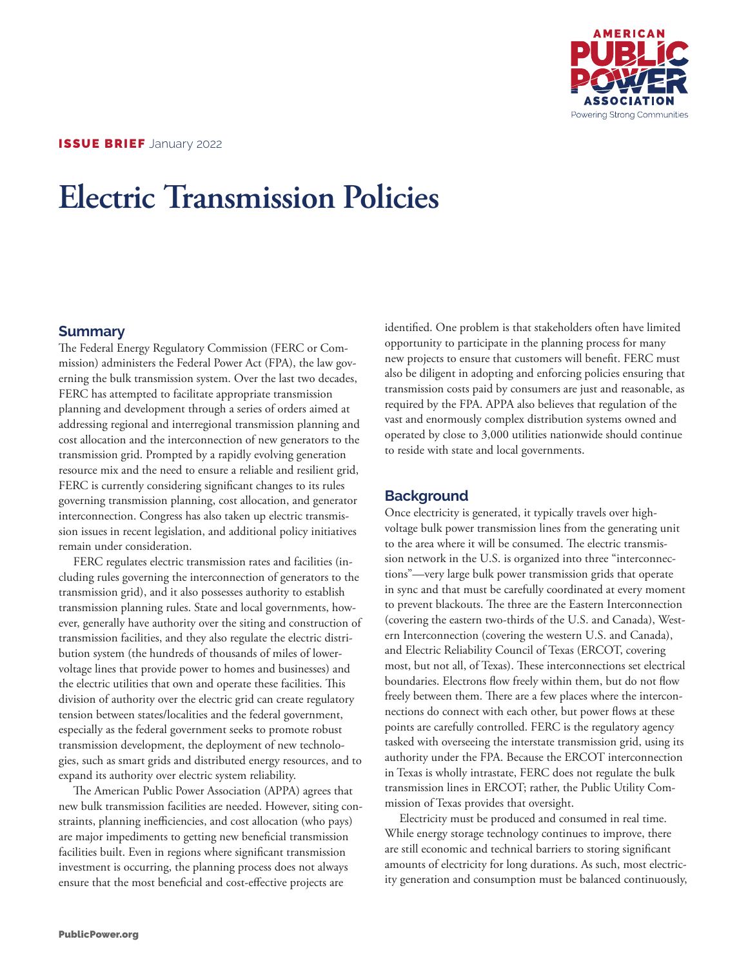

# **Electric Transmission Policies**

# **Summary**

The Federal Energy Regulatory Commission (FERC or Commission) administers the Federal Power Act (FPA), the law governing the bulk transmission system. Over the last two decades, FERC has attempted to facilitate appropriate transmission planning and development through a series of orders aimed at addressing regional and interregional transmission planning and cost allocation and the interconnection of new generators to the transmission grid. Prompted by a rapidly evolving generation resource mix and the need to ensure a reliable and resilient grid, FERC is currently considering significant changes to its rules governing transmission planning, cost allocation, and generator interconnection. Congress has also taken up electric transmission issues in recent legislation, and additional policy initiatives remain under consideration.

FERC regulates electric transmission rates and facilities (including rules governing the interconnection of generators to the transmission grid), and it also possesses authority to establish transmission planning rules. State and local governments, however, generally have authority over the siting and construction of transmission facilities, and they also regulate the electric distribution system (the hundreds of thousands of miles of lowervoltage lines that provide power to homes and businesses) and the electric utilities that own and operate these facilities. This division of authority over the electric grid can create regulatory tension between states/localities and the federal government, especially as the federal government seeks to promote robust transmission development, the deployment of new technologies, such as smart grids and distributed energy resources, and to expand its authority over electric system reliability.

The American Public Power Association (APPA) agrees that new bulk transmission facilities are needed. However, siting constraints, planning inefficiencies, and cost allocation (who pays) are major impediments to getting new beneficial transmission facilities built. Even in regions where significant transmission investment is occurring, the planning process does not always ensure that the most beneficial and cost-effective projects are

identified. One problem is that stakeholders often have limited opportunity to participate in the planning process for many new projects to ensure that customers will benefit. FERC must also be diligent in adopting and enforcing policies ensuring that transmission costs paid by consumers are just and reasonable, as required by the FPA. APPA also believes that regulation of the vast and enormously complex distribution systems owned and operated by close to 3,000 utilities nationwide should continue to reside with state and local governments.

# **Background**

Once electricity is generated, it typically travels over highvoltage bulk power transmission lines from the generating unit to the area where it will be consumed. The electric transmission network in the U.S. is organized into three "interconnections"—very large bulk power transmission grids that operate in sync and that must be carefully coordinated at every moment to prevent blackouts. The three are the Eastern Interconnection (covering the eastern two-thirds of the U.S. and Canada), Western Interconnection (covering the western U.S. and Canada), and Electric Reliability Council of Texas (ERCOT, covering most, but not all, of Texas). These interconnections set electrical boundaries. Electrons flow freely within them, but do not flow freely between them. There are a few places where the interconnections do connect with each other, but power flows at these points are carefully controlled. FERC is the regulatory agency tasked with overseeing the interstate transmission grid, using its authority under the FPA. Because the ERCOT interconnection in Texas is wholly intrastate, FERC does not regulate the bulk transmission lines in ERCOT; rather, the Public Utility Commission of Texas provides that oversight.

Electricity must be produced and consumed in real time. While energy storage technology continues to improve, there are still economic and technical barriers to storing significant amounts of electricity for long durations. As such, most electricity generation and consumption must be balanced continuously,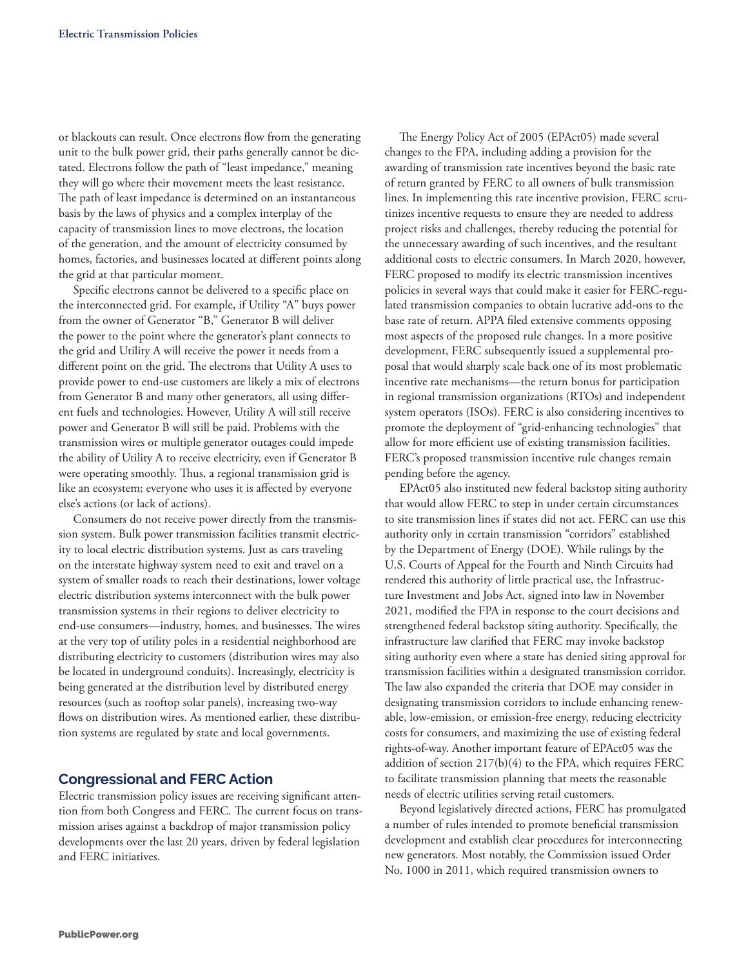or blackouts can result. Once electrons flow from the generating unit to the bulk power grid, their paths generally cannot be dictated. Electrons follow the path of "least impedance," meaning they will go where their movement meets the least resistance. The path of least impedance is determined on an instantaneous basis by the laws of physics and a complex interplay of the capacity of transmission lines to move electrons, the location of the generation, and the amount of electricity consumed by homes, factories, and businesses located at different points along the grid at that particular moment.

Specific electrons cannot be delivered to a specific place on the interconnected grid. For example, if Utility "A" buys power from the owner of Generator "B," Generator B will deliver the power to the point where the generator's plant connects to the grid and Utility A will receive the power it needs from a different point on the grid. The electrons that Utility A uses to provide power to end-use customers are likely a mix of electrons from Generator B and many other generators, all using different fuels and technologies. However, Utility A will still receive power and Generator B will still be paid. Problems with the transmission wires or multiple generator outages could impede the ability of Utility A to receive electricity, even if Generator B were operating smoothly. Thus, a regional transmission grid is like an ecosystem; everyone who uses it is affected by everyone else's actions (or lack of actions).

Consumers do not receive power directly from the transmission system. Bulk power transmission facilities transmit electricity to local electric distribution systems. Just as cars traveling on the interstate highway system need to exit and travel on a system of smaller roads to reach their destinations, lower voltage electric distribution systems interconnect with the bulk power transmission systems in their regions to deliver electricity to end-use consumers—industry, homes, and businesses. The wires at the very top of utility poles in a residential neighborhood are distributing electricity to customers (distribution wires may also be located in underground conduits). Increasingly, electricity is being generated at the distribution level by distributed energy resources (such as rooftop solar panels), increasing two-way flows on distribution wires. As mentioned earlier, these distribution systems are regulated by state and local governments.

# **Congressional and FERC Action**

Electric transmission policy issues are receiving significant attention from both Congress and FERC. The current focus on transmission arises against a backdrop of major transmission policy developments over the last 20 years, driven by federal legislation and FERC initiatives.

The Energy Policy Act of 2005 (EPAct05) made several changes to the FPA, including adding a provision for the awarding of transmission rate incentives beyond the basic rate of return granted by FERC to all owners of bulk transmission lines. In implementing this rate incentive provision, FERC scrutinizes incentive requests to ensure they are needed to address project risks and challenges, thereby reducing the potential for the unnecessary awarding of such incentives, and the resultant additional costs to electric consumers. In March 2020, however, FERC proposed to modify its electric transmission incentives policies in several ways that could make it easier for FERC-regulated transmission companies to obtain lucrative add-ons to the base rate of return. APPA filed extensive comments opposing most aspects of the proposed rule changes. In a more positive development, FERC subsequently issued a supplemental proposal that would sharply scale back one of its most problematic incentive rate mechanisms—the return bonus for participation in regional transmission organizations (RTOs) and independent system operators (ISOs). FERC is also considering incentives to promote the deployment of "grid-enhancing technologies" that allow for more efficient use of existing transmission facilities. FERC's proposed transmission incentive rule changes remain pending before the agency.

EPAct05 also instituted new federal backstop siting authority that would allow FERC to step in under certain circumstances to site transmission lines if states did not act. FERC can use this authority only in certain transmission "corridors" established by the Department of Energy (DOE). While rulings by the U.S. Courts of Appeal for the Fourth and Ninth Circuits had rendered this authority of little practical use, the Infrastructure Investment and Jobs Act, signed into law in November 2021, modified the FPA in response to the court decisions and strengthened federal backstop siting authority. Specifically, the infrastructure law clarified that FERC may invoke backstop siting authority even where a state has denied siting approval for transmission facilities within a designated transmission corridor. The law also expanded the criteria that DOE may consider in designating transmission corridors to include enhancing renewable, low-emission, or emission-free energy, reducing electricity costs for consumers, and maximizing the use of existing federal rights-of-way. Another important feature of EPAct05 was the addition of section 217(b)(4) to the FPA, which requires FERC to facilitate transmission planning that meets the reasonable needs of electric utilities serving retail customers.

Beyond legislatively directed actions, FERC has promulgated a number of rules intended to promote beneficial transmission development and establish clear procedures for interconnecting new generators. Most notably, the Commission issued Order No. 1000 in 2011, which required transmission owners to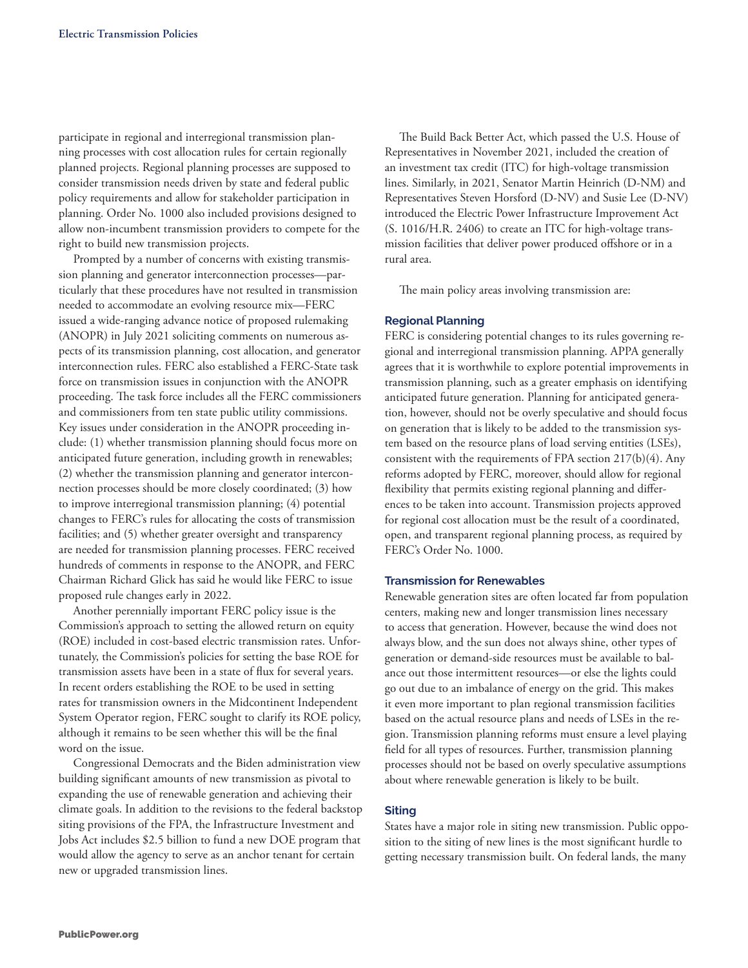participate in regional and interregional transmission planning processes with cost allocation rules for certain regionally planned projects. Regional planning processes are supposed to consider transmission needs driven by state and federal public policy requirements and allow for stakeholder participation in planning. Order No. 1000 also included provisions designed to allow non-incumbent transmission providers to compete for the right to build new transmission projects.

Prompted by a number of concerns with existing transmission planning and generator interconnection processes—particularly that these procedures have not resulted in transmission needed to accommodate an evolving resource mix—FERC issued a wide-ranging advance notice of proposed rulemaking (ANOPR) in July 2021 soliciting comments on numerous aspects of its transmission planning, cost allocation, and generator interconnection rules. FERC also established a FERC-State task force on transmission issues in conjunction with the ANOPR proceeding. The task force includes all the FERC commissioners and commissioners from ten state public utility commissions. Key issues under consideration in the ANOPR proceeding include: (1) whether transmission planning should focus more on anticipated future generation, including growth in renewables; (2) whether the transmission planning and generator interconnection processes should be more closely coordinated; (3) how to improve interregional transmission planning; (4) potential changes to FERC's rules for allocating the costs of transmission facilities; and (5) whether greater oversight and transparency are needed for transmission planning processes. FERC received hundreds of comments in response to the ANOPR, and FERC Chairman Richard Glick has said he would like FERC to issue proposed rule changes early in 2022.

Another perennially important FERC policy issue is the Commission's approach to setting the allowed return on equity (ROE) included in cost-based electric transmission rates. Unfortunately, the Commission's policies for setting the base ROE for transmission assets have been in a state of flux for several years. In recent orders establishing the ROE to be used in setting rates for transmission owners in the Midcontinent Independent System Operator region, FERC sought to clarify its ROE policy, although it remains to be seen whether this will be the final word on the issue.

Congressional Democrats and the Biden administration view building significant amounts of new transmission as pivotal to expanding the use of renewable generation and achieving their climate goals. In addition to the revisions to the federal backstop siting provisions of the FPA, the Infrastructure Investment and Jobs Act includes \$2.5 billion to fund a new DOE program that would allow the agency to serve as an anchor tenant for certain new or upgraded transmission lines.

The Build Back Better Act, which passed the U.S. House of Representatives in November 2021, included the creation of an investment tax credit (ITC) for high-voltage transmission lines. Similarly, in 2021, Senator Martin Heinrich (D-NM) and Representatives Steven Horsford (D-NV) and Susie Lee (D-NV) introduced the Electric Power Infrastructure Improvement Act (S. 1016/H.R. 2406) to create an ITC for high-voltage transmission facilities that deliver power produced offshore or in a rural area.

The main policy areas involving transmission are:

## **Regional Planning**

FERC is considering potential changes to its rules governing regional and interregional transmission planning. APPA generally agrees that it is worthwhile to explore potential improvements in transmission planning, such as a greater emphasis on identifying anticipated future generation. Planning for anticipated generation, however, should not be overly speculative and should focus on generation that is likely to be added to the transmission system based on the resource plans of load serving entities (LSEs), consistent with the requirements of FPA section 217(b)(4). Any reforms adopted by FERC, moreover, should allow for regional flexibility that permits existing regional planning and differences to be taken into account. Transmission projects approved for regional cost allocation must be the result of a coordinated, open, and transparent regional planning process, as required by FERC's Order No. 1000.

#### **Transmission for Renewables**

Renewable generation sites are often located far from population centers, making new and longer transmission lines necessary to access that generation. However, because the wind does not always blow, and the sun does not always shine, other types of generation or demand-side resources must be available to balance out those intermittent resources—or else the lights could go out due to an imbalance of energy on the grid. This makes it even more important to plan regional transmission facilities based on the actual resource plans and needs of LSEs in the region. Transmission planning reforms must ensure a level playing field for all types of resources. Further, transmission planning processes should not be based on overly speculative assumptions about where renewable generation is likely to be built.

## **Siting**

States have a major role in siting new transmission. Public opposition to the siting of new lines is the most significant hurdle to getting necessary transmission built. On federal lands, the many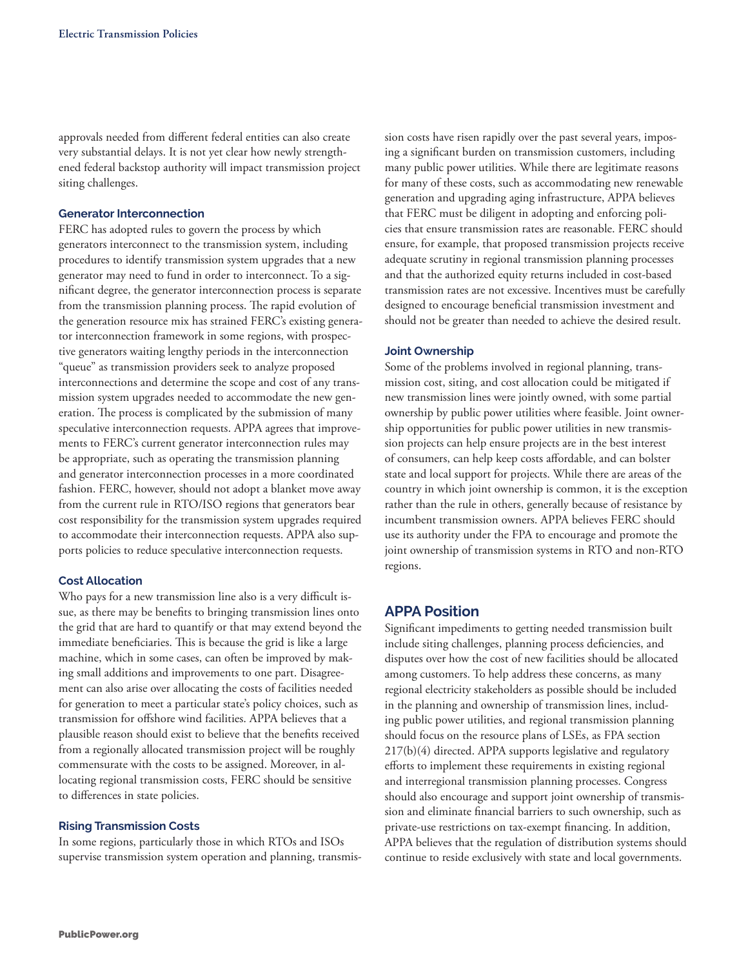approvals needed from different federal entities can also create very substantial delays. It is not yet clear how newly strengthened federal backstop authority will impact transmission project siting challenges.

## **Generator Interconnection**

FERC has adopted rules to govern the process by which generators interconnect to the transmission system, including procedures to identify transmission system upgrades that a new generator may need to fund in order to interconnect. To a significant degree, the generator interconnection process is separate from the transmission planning process. The rapid evolution of the generation resource mix has strained FERC's existing generator interconnection framework in some regions, with prospective generators waiting lengthy periods in the interconnection "queue" as transmission providers seek to analyze proposed interconnections and determine the scope and cost of any transmission system upgrades needed to accommodate the new generation. The process is complicated by the submission of many speculative interconnection requests. APPA agrees that improvements to FERC's current generator interconnection rules may be appropriate, such as operating the transmission planning and generator interconnection processes in a more coordinated fashion. FERC, however, should not adopt a blanket move away from the current rule in RTO/ISO regions that generators bear cost responsibility for the transmission system upgrades required to accommodate their interconnection requests. APPA also supports policies to reduce speculative interconnection requests.

#### **Cost Allocation**

Who pays for a new transmission line also is a very difficult issue, as there may be benefits to bringing transmission lines onto the grid that are hard to quantify or that may extend beyond the immediate beneficiaries. This is because the grid is like a large machine, which in some cases, can often be improved by making small additions and improvements to one part. Disagreement can also arise over allocating the costs of facilities needed for generation to meet a particular state's policy choices, such as transmission for offshore wind facilities. APPA believes that a plausible reason should exist to believe that the benefits received from a regionally allocated transmission project will be roughly commensurate with the costs to be assigned. Moreover, in allocating regional transmission costs, FERC should be sensitive to differences in state policies.

## **Rising Transmission Costs**

In some regions, particularly those in which RTOs and ISOs supervise transmission system operation and planning, transmission costs have risen rapidly over the past several years, imposing a significant burden on transmission customers, including many public power utilities. While there are legitimate reasons for many of these costs, such as accommodating new renewable generation and upgrading aging infrastructure, APPA believes that FERC must be diligent in adopting and enforcing policies that ensure transmission rates are reasonable. FERC should ensure, for example, that proposed transmission projects receive adequate scrutiny in regional transmission planning processes and that the authorized equity returns included in cost-based transmission rates are not excessive. Incentives must be carefully designed to encourage beneficial transmission investment and should not be greater than needed to achieve the desired result.

#### **Joint Ownership**

Some of the problems involved in regional planning, transmission cost, siting, and cost allocation could be mitigated if new transmission lines were jointly owned, with some partial ownership by public power utilities where feasible. Joint ownership opportunities for public power utilities in new transmission projects can help ensure projects are in the best interest of consumers, can help keep costs affordable, and can bolster state and local support for projects. While there are areas of the country in which joint ownership is common, it is the exception rather than the rule in others, generally because of resistance by incumbent transmission owners. APPA believes FERC should use its authority under the FPA to encourage and promote the joint ownership of transmission systems in RTO and non-RTO regions.

## **APPA Position**

Significant impediments to getting needed transmission built include siting challenges, planning process deficiencies, and disputes over how the cost of new facilities should be allocated among customers. To help address these concerns, as many regional electricity stakeholders as possible should be included in the planning and ownership of transmission lines, including public power utilities, and regional transmission planning should focus on the resource plans of LSEs, as FPA section 217(b)(4) directed. APPA supports legislative and regulatory efforts to implement these requirements in existing regional and interregional transmission planning processes. Congress should also encourage and support joint ownership of transmission and eliminate financial barriers to such ownership, such as private-use restrictions on tax-exempt financing. In addition, APPA believes that the regulation of distribution systems should continue to reside exclusively with state and local governments.